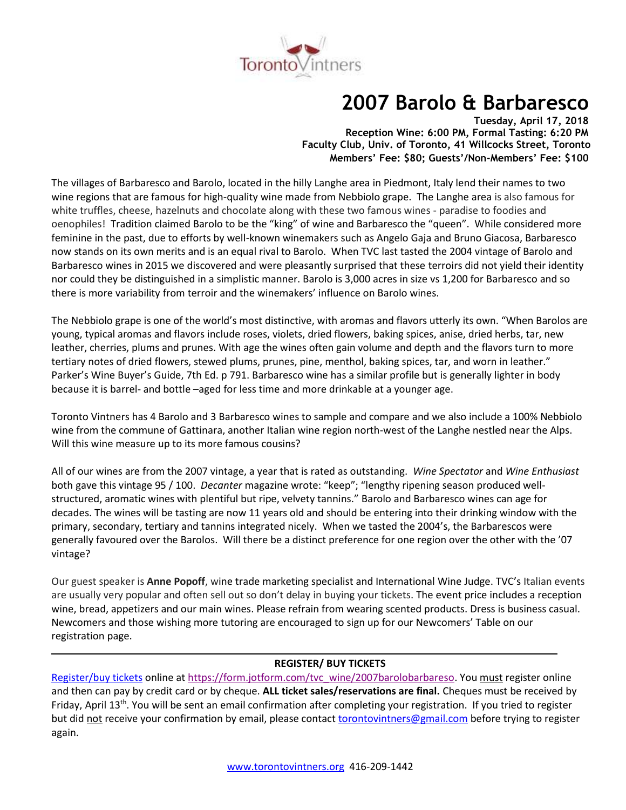

# **2007 Barolo & Barbaresco**

**Tuesday, April 17, 2018 Reception Wine: 6:00 PM, Formal Tasting: 6:20 PM Faculty Club, Univ. of Toronto, 41 Willcocks Street, Toronto Members' Fee: \$80; Guests'/Non-Members' Fee: \$100**

The villages of Barbaresco and Barolo, located in the hilly Langhe area in Piedmont, Italy lend their names to two wine regions that are famous for high-quality wine made from Nebbiolo grape. The Langhe area is also famous for white truffles, cheese, hazelnuts and chocolate along with these two famous wines - paradise to foodies and oenophiles! Tradition claimed Barolo to be the "king" of wine and Barbaresco the "queen". While considered more feminine in the past, due to efforts by well-known winemakers such as Angelo Gaja and Bruno Giacosa, Barbaresco now stands on its own merits and is an equal rival to Barolo. When TVC last tasted the 2004 vintage of Barolo and Barbaresco wines in 2015 we discovered and were pleasantly surprised that these terroirs did not yield their identity nor could they be distinguished in a simplistic manner. Barolo is 3,000 acres in size vs 1,200 for Barbaresco and so there is more variability from terroir and the winemakers' influence on Barolo wines.

The Nebbiolo grape is one of the world's most distinctive, with aromas and flavors utterly its own. "When Barolos are young, typical aromas and flavors include roses, violets, dried flowers, baking spices, anise, dried herbs, tar, new leather, cherries, plums and prunes. With age the wines often gain volume and depth and the flavors turn to more tertiary notes of dried flowers, stewed plums, prunes, pine, menthol, baking spices, tar, and worn in leather." Parker's Wine Buyer's Guide, 7th Ed. p 791. Barbaresco wine has a similar profile but is generally lighter in body because it is barrel- and bottle –aged for less time and more drinkable at a younger age.

Toronto Vintners has 4 Barolo and 3 Barbaresco wines to sample and compare and we also include a 100% Nebbiolo wine from the commune of Gattinara, another Italian wine region north-west of the Langhe nestled near the Alps. Will this wine measure up to its more famous cousins?

All of our wines are from the 2007 vintage, a year that is rated as outstanding. *Wine Spectator* and *Wine Enthusiast* both gave this vintage 95 / 100. *Decanter* magazine wrote: "keep"; "lengthy ripening season produced wellstructured, aromatic wines with plentiful but ripe, velvety tannins." Barolo and Barbaresco wines can age for decades. The wines will be tasting are now 11 years old and should be entering into their drinking window with the primary, secondary, tertiary and tannins integrated nicely. When we tasted the 2004's, the Barbarescos were generally favoured over the Barolos. Will there be a distinct preference for one region over the other with the '07 vintage?

Our guest speaker is **Anne Popoff**, wine trade marketing specialist and International Wine Judge. TVC's Italian events are usually very popular and often sell out so don't delay in buying your tickets. The event price includes a reception wine, bread, appetizers and our main wines. Please refrain from wearing scented products. Dress is business casual. Newcomers and those wishing more tutoring are encouraged to sign up for our Newcomers' Table on our registration page.

# **REGISTER/ BUY TICKETS**

[Register/buy tickets](https://form.jotform.com/tvc_wine/2007barolobarbareso) online at [https://form.jotform.com/tvc\\_wine/2007barolobarbareso.](https://form.jotform.com/tvc_wine/2007barolobarbareso) You must register online and then can pay by credit card or by cheque. **ALL ticket sales/reservations are final.** Cheques must be received by Friday, April 13<sup>th</sup>. You will be sent an email confirmation after completing your registration. If you tried to register but did not receive your confirmation by email, please contact [torontovintners@gmail.com](mailto:torontovintners@gmail.com) before trying to register again.